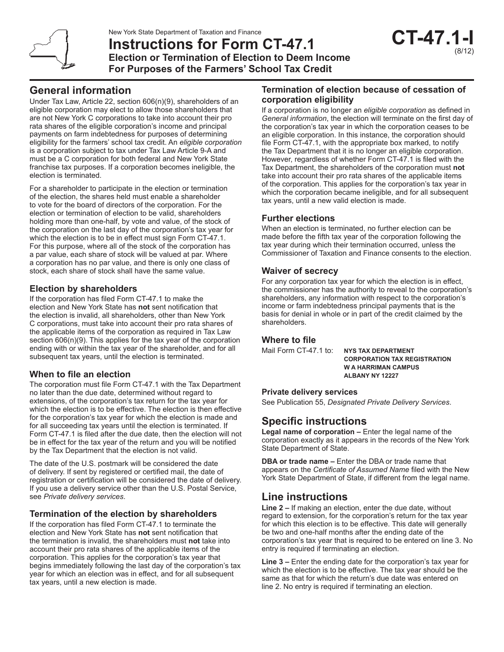**Instructions for Form CT-47.1 Election or Termination of Election to Deem Income For Purposes of the Farmers' School Tax Credit**

# **General information**

Under Tax Law, Article 22, section 606(n)(9), shareholders of an eligible corporation may elect to allow those shareholders that are not New York C corporations to take into account their pro rata shares of the eligible corporation's income and principal payments on farm indebtedness for purposes of determining eligibility for the farmers' school tax credit. An *eligible corporation* is a corporation subject to tax under Tax Law Article 9-A and must be a C corporation for both federal and New York State franchise tax purposes. If a corporation becomes ineligible, the election is terminated.

For a shareholder to participate in the election or termination of the election, the shares held must enable a shareholder to vote for the board of directors of the corporation. For the election or termination of election to be valid, shareholders holding more than one-half, by vote and value, of the stock of the corporation on the last day of the corporation's tax year for which the election is to be in effect must sign Form CT-47.1. For this purpose, where all of the stock of the corporation has a par value, each share of stock will be valued at par. Where a corporation has no par value, and there is only one class of stock, each share of stock shall have the same value.

## **Election by shareholders**

If the corporation has filed Form CT-47.1 to make the election and New York State has **not** sent notification that the election is invalid, all shareholders, other than New York C corporations, must take into account their pro rata shares of the applicable items of the corporation as required in Tax Law section 606(n)(9). This applies for the tax year of the corporation ending with or within the tax year of the shareholder, and for all subsequent tax years, until the election is terminated.

## **When to file an election**

The corporation must file Form CT-47.1 with the Tax Department no later than the due date, determined without regard to extensions, of the corporation's tax return for the tax year for which the election is to be effective. The election is then effective for the corporation's tax year for which the election is made and for all succeeding tax years until the election is terminated. If Form CT-47.1 is filed after the due date, then the election will not be in effect for the tax year of the return and you will be notified by the Tax Department that the election is not valid.

The date of the U.S. postmark will be considered the date of delivery. If sent by registered or certified mail, the date of registration or certification will be considered the date of delivery. If you use a delivery service other than the U.S. Postal Service, see *Private delivery services*.

## **Termination of the election by shareholders**

If the corporation has filed Form CT-47.1 to terminate the election and New York State has **not** sent notification that the termination is invalid, the shareholders must **not** take into account their pro rata shares of the applicable items of the corporation. This applies for the corporation's tax year that begins immediately following the last day of the corporation's tax year for which an election was in effect, and for all subsequent tax years, until a new election is made.

### **Termination of election because of cessation of corporation eligibility**

If a corporation is no longer an *eligible corporation* as defined in *General information*, the election will terminate on the first day of the corporation's tax year in which the corporation ceases to be an eligible corporation. In this instance, the corporation should file Form CT-47.1, with the appropriate box marked, to notify the Tax Department that it is no longer an eligible corporation. However, regardless of whether Form CT-47.1 is filed with the Tax Department, the shareholders of the corporation must **not** take into account their pro rata shares of the applicable items of the corporation. This applies for the corporation's tax year in which the corporation became ineligible, and for all subsequent tax years, until a new valid election is made.

### **Further elections**

When an election is terminated, no further election can be made before the fifth tax year of the corporation following the tax year during which their termination occurred, unless the Commissioner of Taxation and Finance consents to the election.

### **Waiver of secrecy**

For any corporation tax year for which the election is in effect, the commissioner has the authority to reveal to the corporation's shareholders, any information with respect to the corporation's income or farm indebtedness principal payments that is the basis for denial in whole or in part of the credit claimed by the shareholders.

#### **Where to file**

Mail Form CT-47.1 to: **NYS TAX DEPARTMENT**

**CORPORATION TAX REGISTRATION W A HARRIMAN CAMPUS ALBANY NY 12227**

#### **Private delivery services**

See Publication 55, *Designated Private Delivery Services*.

# **Specific instructions**

**Legal name of corporation –** Enter the legal name of the corporation exactly as it appears in the records of the New York State Department of State.

**DBA or trade name –** Enter the DBA or trade name that appears on the *Certificate of Assumed Name* filed with the New York State Department of State, if different from the legal name.

# **Line instructions**

**Line 2 –** If making an election, enter the due date, without regard to extension, for the corporation's return for the tax year for which this election is to be effective. This date will generally be two and one-half months after the ending date of the corporation's tax year that is required to be entered on line 3. No entry is required if terminating an election.

**Line 3 –** Enter the ending date for the corporation's tax year for which the election is to be effective. The tax year should be the same as that for which the return's due date was entered on line 2. No entry is required if terminating an election.